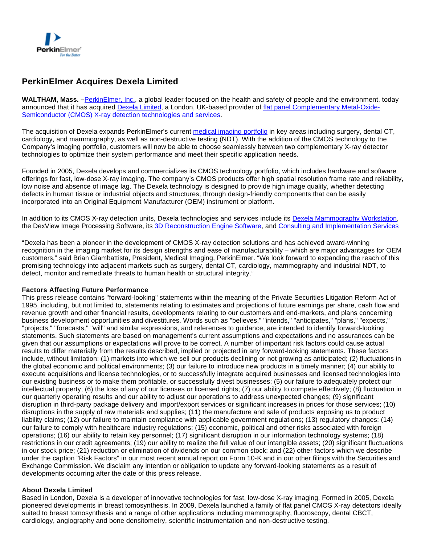

# **PerkinElmer Acquires Dexela Limited**

**WALTHAM, Mass. –**[PerkinElmer, Inc.](http://www.perkinelmer.com/), a global leader focused on the health and safety of people and the environment, today announced that it has acquired [Dexela Limited,](http://www.dexela.com/default.aspx) a London, UK-based provider of [flat panel Complementary Metal-Oxide-](http://www.dexela.com/cmos.aspx)[Semiconductor \(CMOS\) X-ray detection technologies and services.](http://www.dexela.com/cmos.aspx)

The acquisition of Dexela expands PerkinElmer's current [medical imaging portfolio](http://investor.shareholder.com/Technologies/Flat-Panel-Detection/cat1/NAV_04_TCH_Technologies_001/cat2/NAV_TCH_Flat%20Panel%20Detection_040) in key areas including surgery, dental CT, cardiology, and mammography, as well as non-destructive testing (NDT). With the addition of the CMOS technology to the Company's imaging portfolio, customers will now be able to choose seamlessly between two complementary X-ray detector technologies to optimize their system performance and meet their specific application needs.

Founded in 2005, Dexela develops and commercializes its CMOS technology portfolio, which includes hardware and software offerings for fast, low-dose X-ray imaging. The company's CMOS products offer high spatial resolution frame rate and reliability, low noise and absence of image lag. The Dexela technology is designed to provide high image quality, whether detecting defects in human tissue or industrial objects and structures, through design-friendly components that can be easily incorporated into an Original Equipment Manufacturer (OEM) instrument or platform.

In addition to its CMOS X-ray detection units, Dexela technologies and services include its [Dexela Mammography Workstation](http://dexela.com/dextop.aspx), the DexView Image Processing Software, its [3D Reconstruction Engine Software](http://www.dexela.com/3drecon.aspx), and [Consulting and Implementation Services](http://www.dexela.com/conimplement.aspx)

"Dexela has been a pioneer in the development of CMOS X-ray detection solutions and has achieved award-winning recognition in the imaging market for its design strengths and ease of manufacturability – which are major advantages for OEM customers," said Brian Giambattista, President, Medical Imaging, PerkinElmer. "We look forward to expanding the reach of this promising technology into adjacent markets such as surgery, dental CT, cardiology, mammography and industrial NDT, to detect, monitor and remediate threats to human health or structural integrity."

#### **Factors Affecting Future Performance**

This press release contains "forward-looking" statements within the meaning of the Private Securities Litigation Reform Act of 1995, including, but not limited to, statements relating to estimates and projections of future earnings per share, cash flow and revenue growth and other financial results, developments relating to our customers and end-markets, and plans concerning business development opportunities and divestitures. Words such as "believes," "intends," "anticipates," "plans," "expects," "projects," "forecasts," "will" and similar expressions, and references to guidance, are intended to identify forward-looking statements. Such statements are based on management's current assumptions and expectations and no assurances can be given that our assumptions or expectations will prove to be correct. A number of important risk factors could cause actual results to differ materially from the results described, implied or projected in any forward-looking statements. These factors include, without limitation: (1) markets into which we sell our products declining or not growing as anticipated; (2) fluctuations in the global economic and political environments; (3) our failure to introduce new products in a timely manner; (4) our ability to execute acquisitions and license technologies, or to successfully integrate acquired businesses and licensed technologies into our existing business or to make them profitable, or successfully divest businesses; (5) our failure to adequately protect our intellectual property; (6) the loss of any of our licenses or licensed rights; (7) our ability to compete effectively; (8) fluctuation in our quarterly operating results and our ability to adjust our operations to address unexpected changes; (9) significant disruption in third-party package delivery and import/export services or significant increases in prices for those services; (10) disruptions in the supply of raw materials and supplies; (11) the manufacture and sale of products exposing us to product liability claims; (12) our failure to maintain compliance with applicable government regulations; (13) regulatory changes; (14) our failure to comply with healthcare industry regulations; (15) economic, political and other risks associated with foreign operations; (16) our ability to retain key personnel; (17) significant disruption in our information technology systems; (18) restrictions in our credit agreements; (19) our ability to realize the full value of our intangible assets; (20) significant fluctuations in our stock price; (21) reduction or elimination of dividends on our common stock; and (22) other factors which we describe under the caption "Risk Factors" in our most recent annual report on Form 10-K and in our other filings with the Securities and Exchange Commission. We disclaim any intention or obligation to update any forward-looking statements as a result of developments occurring after the date of this press release.

#### **About Dexela Limited**

Based in London, Dexela is a developer of innovative technologies for fast, low-dose X-ray imaging. Formed in 2005, Dexela pioneered developments in breast tomosynthesis. In 2009, Dexela launched a family of flat panel CMOS X-ray detectors ideally suited to breast tomosynthesis and a range of other applications including mammography, fluoroscopy, dental CBCT, cardiology, angiography and bone densitometry, scientific instrumentation and non-destructive testing.